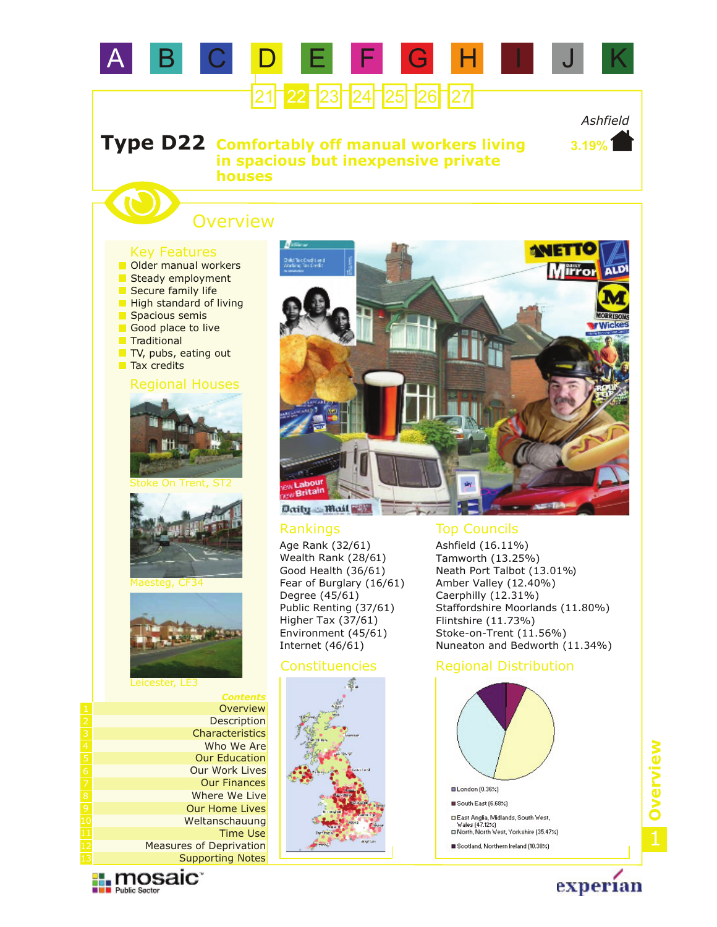

*Ashfield*

**3.19%**

#### **Comfortably off manual workers living in spacious but inexpensive private houses Type D22**

# **Overview**

#### Key Features



Tax credits







Maesteg, CF34



Leicester, LE3

*Contents* **Description Overview Characteristics** Who We Are Our Work Lives Our Education Our Finances Where We Live Our Home Lives Weltanschauung Supporting Notes Measures of Deprivation Time Use

**Exploration** 



Age Rank (32/61) Wealth Rank (28/61) Good Health (36/61) Fear of Burglary (16/61) Degree (45/61) Public Renting (37/61) Higher Tax (37/61) Environment (45/61) Internet (46/61)



### Rankings Top Councils

Ashfield (16.11%) Tamworth (13.25%) Neath Port Talbot (13.01%) Amber Valley (12.40%) Caerphilly (12.31%) Staffordshire Moorlands (11.80%) Flintshire (11.73%) Stoke-on-Trent (11.56%) Nuneaton and Bedworth (11.34%)

## Constituencies Regional Distribution



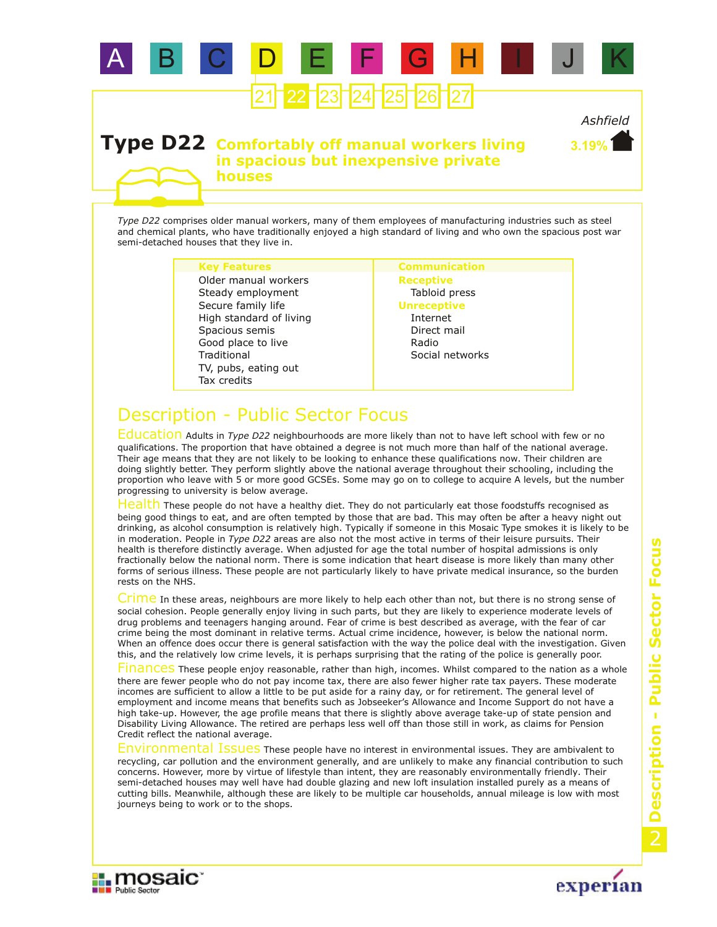

*Ashfield* **3.19%**

### **Type D22 Comfortably off manual workers living in spacious but inexpensive private houses**

*Type D22* comprises older manual workers, many of them employees of manufacturing industries such as steel and chemical plants, who have traditionally enjoyed a high standard of living and who own the spacious post war semi-detached houses that they live in.

#### **Key Features Communication**

TV, pubs, eating out **Traditional** Secure family life High standard of living Spacious semis Tax credits Good place to live Steady employment Older manual workers

**Receptive** Tabloid press **Unreceptive** Internet Direct mail Radio Social networks

# Description - Public Sector Focus

Education Adults in *Type D22* neighbourhoods are more likely than not to have left school with few or no qualifications. The proportion that have obtained a degree is not much more than half of the national average. Their age means that they are not likely to be looking to enhance these qualifications now. Their children are doing slightly better. They perform slightly above the national average throughout their schooling, including the proportion who leave with 5 or more good GCSEs. Some may go on to college to acquire A levels, but the number progressing to university is below average.

Health These people do not have a healthy diet. They do not particularly eat those foodstuffs recognised as being good things to eat, and are often tempted by those that are bad. This may often be after a heavy night out drinking, as alcohol consumption is relatively high. Typically if someone in this Mosaic Type smokes it is likely to be in moderation. People in *Type D22* areas are also not the most active in terms of their leisure pursuits. Their health is therefore distinctly average. When adjusted for age the total number of hospital admissions is only fractionally below the national norm. There is some indication that heart disease is more likely than many other forms of serious illness. These people are not particularly likely to have private medical insurance, so the burden rests on the NHS.

Crime In these areas, neighbours are more likely to help each other than not, but there is no strong sense of social cohesion. People generally enjoy living in such parts, but they are likely to experience moderate levels of drug problems and teenagers hanging around. Fear of crime is best described as average, with the fear of car crime being the most dominant in relative terms. Actual crime incidence, however, is below the national norm. When an offence does occur there is general satisfaction with the way the police deal with the investigation. Given this, and the relatively low crime levels, it is perhaps surprising that the rating of the police is generally poor.

Finances These people enjoy reasonable, rather than high, incomes. Whilst compared to the nation as a whole there are fewer people who do not pay income tax, there are also fewer higher rate tax payers. These moderate incomes are sufficient to allow a little to be put aside for a rainy day, or for retirement. The general level of employment and income means that benefits such as Jobseeker's Allowance and Income Support do not have a high take-up. However, the age profile means that there is slightly above average take-up of state pension and Disability Living Allowance. The retired are perhaps less well off than those still in work, as claims for Pension Credit reflect the national average.

Environmental Issues These people have no interest in environmental issues. They are ambivalent to recycling, car pollution and the environment generally, and are unlikely to make any financial contribution to such concerns. However, more by virtue of lifestyle than intent, they are reasonably environmentally friendly. Their semi-detached houses may well have had double glazing and new loft insulation installed purely as a means of cutting bills. Meanwhile, although these are likely to be multiple car households, annual mileage is low with most journeys being to work or to the shops.



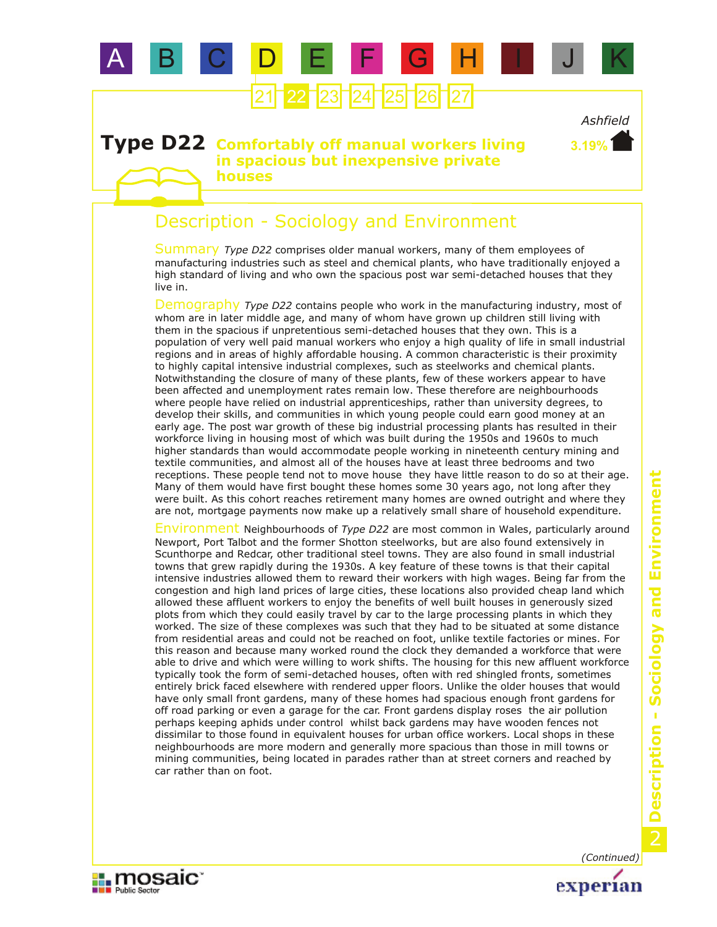

## **Type D22 Comfortably off manual workers living in spacious but inexpensive private houses**

# Description - Sociology and Environment

Summary Type D22 comprises older manual workers, many of them employees of manufacturing industries such as steel and chemical plants, who have traditionally enjoyed a high standard of living and who own the spacious post war semi-detached houses that they live in.

Demography Type D22 contains people who work in the manufacturing industry, most of whom are in later middle age, and many of whom have grown up children still living with them in the spacious if unpretentious semi-detached houses that they own. This is a population of very well paid manual workers who enjoy a high quality of life in small industrial regions and in areas of highly affordable housing. A common characteristic is their proximity to highly capital intensive industrial complexes, such as steelworks and chemical plants. Notwithstanding the closure of many of these plants, few of these workers appear to have been affected and unemployment rates remain low. These therefore are neighbourhoods where people have relied on industrial apprenticeships, rather than university degrees, to develop their skills, and communities in which young people could earn good money at an early age. The post war growth of these big industrial processing plants has resulted in their workforce living in housing most of which was built during the 1950s and 1960s to much higher standards than would accommodate people working in nineteenth century mining and textile communities, and almost all of the houses have at least three bedrooms and two receptions. These people tend not to move house they have little reason to do so at their age. Many of them would have first bought these homes some 30 years ago, not long after they were built. As this cohort reaches retirement many homes are owned outright and where they are not, mortgage payments now make up a relatively small share of household expenditure.

Environment Neighbourhoods of *Type D22* are most common in Wales, particularly around Newport, Port Talbot and the former Shotton steelworks, but are also found extensively in Scunthorpe and Redcar, other traditional steel towns. They are also found in small industrial towns that grew rapidly during the 1930s. A key feature of these towns is that their capital intensive industries allowed them to reward their workers with high wages. Being far from the congestion and high land prices of large cities, these locations also provided cheap land which allowed these affluent workers to enjoy the benefits of well built houses in generously sized plots from which they could easily travel by car to the large processing plants in which they worked. The size of these complexes was such that they had to be situated at some distance from residential areas and could not be reached on foot, unlike textile factories or mines. For this reason and because many worked round the clock they demanded a workforce that were able to drive and which were willing to work shifts. The housing for this new affluent workforce typically took the form of semi-detached houses, often with red shingled fronts, sometimes entirely brick faced elsewhere with rendered upper floors. Unlike the older houses that would have only small front gardens, many of these homes had spacious enough front gardens for off road parking or even a garage for the car. Front gardens display roses the air pollution perhaps keeping aphids under control whilst back gardens may have wooden fences not dissimilar to those found in equivalent houses for urban office workers. Local shops in these neighbourhoods are more modern and generally more spacious than those in mill towns or mining communities, being located in parades rather than at street corners and reached by car rather than on foot.

**II** mosaic

**DE Public Sector** 



*Ashfield*

**3.19%**

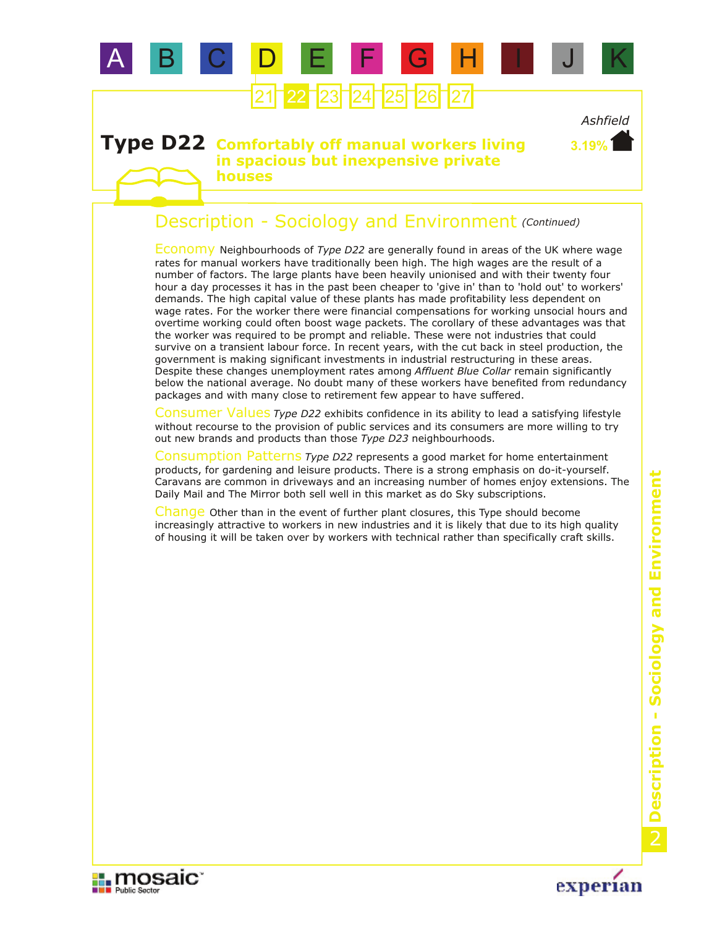

### **Type D22 Comfortably off manual workers living in spacious but inexpensive private houses**

# Description - Sociology and Environment *(Continued)*

Economy Neighbourhoods of *Type D22* are generally found in areas of the UK where wage rates for manual workers have traditionally been high. The high wages are the result of a number of factors. The large plants have been heavily unionised and with their twenty four hour a day processes it has in the past been cheaper to 'give in' than to 'hold out' to workers' demands. The high capital value of these plants has made profitability less dependent on wage rates. For the worker there were financial compensations for working unsocial hours and overtime working could often boost wage packets. The corollary of these advantages was that the worker was required to be prompt and reliable. These were not industries that could survive on a transient labour force. In recent years, with the cut back in steel production, the government is making significant investments in industrial restructuring in these areas. Despite these changes unemployment rates among *Affluent Blue Collar* remain significantly below the national average. No doubt many of these workers have benefited from redundancy packages and with many close to retirement few appear to have suffered.

Consumer Values Type D22 exhibits confidence in its ability to lead a satisfying lifestyle without recourse to the provision of public services and its consumers are more willing to try out new brands and products than those *Type D23* neighbourhoods.

Consumption Patterns *Type D22* represents a good market for home entertainment products, for gardening and leisure products. There is a strong emphasis on do-it-yourself. Caravans are common in driveways and an increasing number of homes enjoy extensions. The Daily Mail and The Mirror both sell well in this market as do Sky subscriptions.

Change Other than in the event of further plant closures, this Type should become increasingly attractive to workers in new industries and it is likely that due to its high quality of housing it will be taken over by workers with technical rather than specifically craft skills.





*Ashfield*

**3.19%**